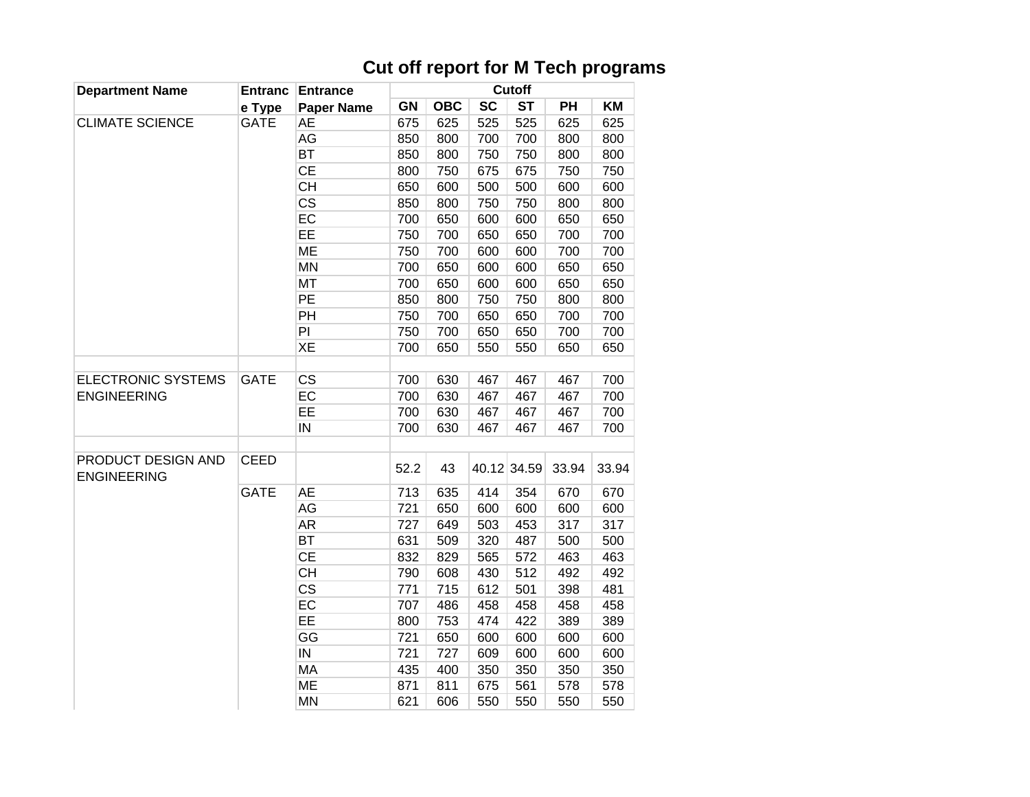## **Cut off report for M Tech programs**

| <b>Department Name</b>                          | <b>Entranc</b> | <b>Entrance</b>          |           |            |           | Cutoff      |           |       |  |
|-------------------------------------------------|----------------|--------------------------|-----------|------------|-----------|-------------|-----------|-------|--|
|                                                 | e Type         | <b>Paper Name</b>        | <b>GN</b> | <b>OBC</b> | <b>SC</b> | <b>ST</b>   | <b>PH</b> | KM    |  |
| <b>CLIMATE SCIENCE</b>                          | <b>GATE</b>    | <b>AE</b>                | 675       | 625        | 525       | 525         | 625       | 625   |  |
|                                                 |                | AG                       | 850       | 800        | 700       | 700         | 800       | 800   |  |
|                                                 |                | <b>BT</b>                | 850       | 800        | 750       | 750         | 800       | 800   |  |
|                                                 |                | CE                       | 800       | 750        | 675       | 675         | 750       | 750   |  |
|                                                 |                | <b>CH</b>                | 650       | 600        | 500       | 500         | 600       | 600   |  |
|                                                 |                | $\overline{\text{CS}}$   | 850       | 800        | 750       | 750         | 800       | 800   |  |
|                                                 |                | EC                       | 700       | 650        | 600       | 600         | 650       | 650   |  |
|                                                 |                | EE                       | 750       | 700        | 650       | 650         | 700       | 700   |  |
|                                                 |                | <b>ME</b>                | 750       | 700        | 600       | 600         | 700       | 700   |  |
|                                                 |                | <b>MN</b>                | 700       | 650        | 600       | 600         | 650       | 650   |  |
|                                                 |                | MT                       | 700       | 650        | 600       | 600         | 650       | 650   |  |
|                                                 |                | PE                       | 850       | 800        | 750       | 750         | 800       | 800   |  |
|                                                 |                | PH                       | 750       | 700        | 650       | 650         | 700       | 700   |  |
|                                                 |                | PI                       | 750       | 700        | 650       | 650         | 700       | 700   |  |
|                                                 |                | XE                       | 700       | 650        | 550       | 550         | 650       | 650   |  |
|                                                 |                |                          |           |            |           |             |           |       |  |
| <b>ELECTRONIC SYSTEMS</b><br><b>ENGINEERING</b> | <b>GATE</b>    | <b>CS</b>                | 700       | 630        | 467       | 467         | 467       | 700   |  |
|                                                 |                | EC                       | 700       | 630        | 467       | 467         | 467       | 700   |  |
|                                                 |                | EE                       | 700       | 630        | 467       | 467         | 467       | 700   |  |
|                                                 |                | IN                       | 700       | 630        | 467       | 467         | 467       | 700   |  |
|                                                 |                |                          |           |            |           |             |           |       |  |
| PRODUCT DESIGN AND<br><b>ENGINEERING</b>        | <b>CEED</b>    |                          | 52.2      | 43         |           | 40.12 34.59 | 33.94     | 33.94 |  |
|                                                 | <b>GATE</b>    | <b>AE</b>                | 713       | 635        | 414       | 354         | 670       | 670   |  |
|                                                 |                | AG                       | 721       | 650        | 600       | 600         | 600       | 600   |  |
|                                                 |                | AR                       | 727       | 649        | 503       | 453         | 317       | 317   |  |
|                                                 |                | <b>BT</b>                | 631       | 509        | 320       | 487         | 500       | 500   |  |
|                                                 |                | <b>CE</b>                | 832       | 829        | 565       | 572         | 463       | 463   |  |
|                                                 |                | <b>CH</b>                | 790       | 608        | 430       | 512         | 492       | 492   |  |
|                                                 |                | $\overline{\text{CS}}$   | 771       | 715        | 612       | 501         | 398       | 481   |  |
|                                                 |                | EC                       | 707       | 486        | 458       | 458         | 458       | 458   |  |
|                                                 |                | EE                       | 800       | 753        | 474       | 422         | 389       | 389   |  |
|                                                 |                | GG                       | 721       | 650        | 600       | 600         | 600       | 600   |  |
|                                                 |                | $\overline{\mathsf{IN}}$ | 721       | 727        | 609       | 600         | 600       | 600   |  |
|                                                 |                | MA                       | 435       | 400        | 350       | 350         | 350       | 350   |  |
|                                                 |                | <b>ME</b>                | 871       | 811        | 675       | 561         | 578       | 578   |  |
|                                                 |                | <b>MN</b>                | 621       | 606        | 550       | 550         | 550       | 550   |  |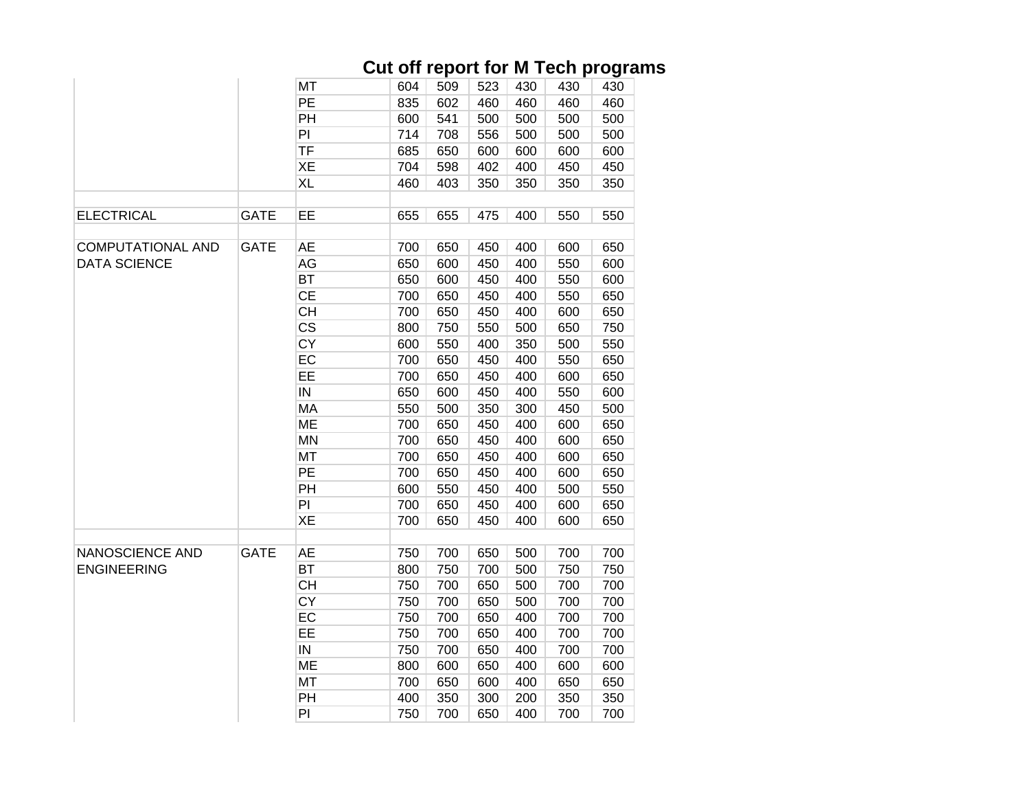## **Cut off report for M Tech programs**

|  |                                                 |             | MT                     | 604 | 509 | 523 | 430 | 430 | 430 |
|--|-------------------------------------------------|-------------|------------------------|-----|-----|-----|-----|-----|-----|
|  |                                                 |             | PE                     | 835 | 602 | 460 | 460 | 460 | 460 |
|  |                                                 |             | PH                     | 600 | 541 | 500 | 500 | 500 | 500 |
|  |                                                 |             | PI                     | 714 | 708 | 556 | 500 | 500 | 500 |
|  |                                                 |             | <b>TF</b>              | 685 | 650 | 600 | 600 | 600 | 600 |
|  |                                                 |             | XE                     | 704 | 598 | 402 | 400 | 450 | 450 |
|  |                                                 |             | <b>XL</b>              | 460 | 403 | 350 | 350 | 350 | 350 |
|  |                                                 |             |                        |     |     |     |     |     |     |
|  | <b>ELECTRICAL</b>                               | <b>GATE</b> | EE                     | 655 | 655 | 475 | 400 | 550 | 550 |
|  |                                                 |             |                        |     |     |     |     |     |     |
|  | <b>COMPUTATIONAL AND</b><br><b>DATA SCIENCE</b> | <b>GATE</b> | AE                     | 700 | 650 | 450 | 400 | 600 | 650 |
|  |                                                 |             | AG                     | 650 | 600 | 450 | 400 | 550 | 600 |
|  |                                                 |             | <b>BT</b>              | 650 | 600 | 450 | 400 | 550 | 600 |
|  |                                                 |             | <b>CE</b>              | 700 | 650 | 450 | 400 | 550 | 650 |
|  |                                                 |             | <b>CH</b>              | 700 | 650 | 450 | 400 | 600 | 650 |
|  |                                                 |             | $\overline{\text{CS}}$ | 800 | 750 | 550 | 500 | 650 | 750 |
|  |                                                 |             | CY                     | 600 | 550 | 400 | 350 | 500 | 550 |
|  |                                                 |             | EC                     | 700 | 650 | 450 | 400 | 550 | 650 |
|  |                                                 |             | EE                     | 700 | 650 | 450 | 400 | 600 | 650 |
|  |                                                 |             | IN                     | 650 | 600 | 450 | 400 | 550 | 600 |
|  |                                                 |             | <b>MA</b>              | 550 | 500 | 350 | 300 | 450 | 500 |
|  |                                                 |             | <b>ME</b>              | 700 | 650 | 450 | 400 | 600 | 650 |
|  |                                                 |             | <b>MN</b>              | 700 | 650 | 450 | 400 | 600 | 650 |
|  |                                                 |             | MT                     | 700 | 650 | 450 | 400 | 600 | 650 |
|  |                                                 |             | PE                     | 700 | 650 | 450 | 400 | 600 | 650 |
|  |                                                 |             | PH                     | 600 | 550 | 450 | 400 | 500 | 550 |
|  |                                                 |             | PI                     | 700 | 650 | 450 | 400 | 600 | 650 |
|  |                                                 |             | XE                     | 700 | 650 | 450 | 400 | 600 | 650 |
|  |                                                 |             |                        |     |     |     |     |     |     |
|  | <b>NANOSCIENCE AND</b>                          | <b>GATE</b> | <b>AE</b>              | 750 | 700 | 650 | 500 | 700 | 700 |
|  | <b>ENGINEERING</b>                              |             | <b>BT</b>              | 800 | 750 | 700 | 500 | 750 | 750 |
|  |                                                 |             | <b>CH</b>              | 750 | 700 | 650 | 500 | 700 | 700 |
|  |                                                 |             | <b>CY</b>              | 750 | 700 | 650 | 500 | 700 | 700 |
|  |                                                 |             | EC                     | 750 | 700 | 650 | 400 | 700 | 700 |
|  |                                                 |             | EE                     | 750 | 700 | 650 | 400 | 700 | 700 |
|  |                                                 |             | IN                     | 750 | 700 | 650 | 400 | 700 | 700 |
|  |                                                 |             | <b>ME</b>              | 800 | 600 | 650 | 400 | 600 | 600 |
|  |                                                 |             | MT                     | 700 | 650 | 600 | 400 | 650 | 650 |
|  |                                                 |             | PH                     | 400 | 350 | 300 | 200 | 350 | 350 |
|  |                                                 |             | PI                     | 750 | 700 | 650 | 400 | 700 | 700 |